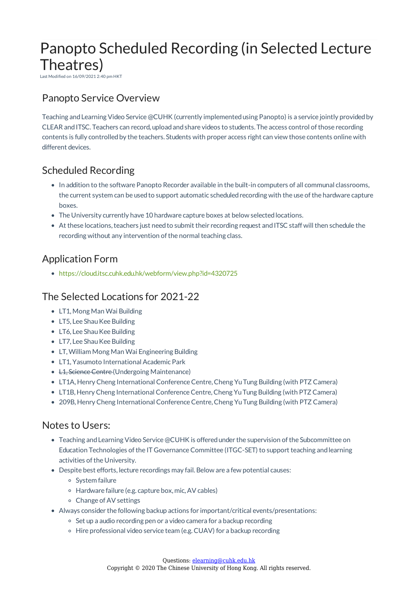# Panopto Scheduled Recording (in Selected Lecture Theatres)

Last Modified on 16/09/2021 2:40 pm HKT

## Panopto Service Overview

Teaching and Learning Video Service @CUHK (currently implemented using Panopto) is a service jointly provided by CLEAR and ITSC. Teachers can record, upload and share videos to students. The access control of those recording contents is fully controlled by the teachers. Students with proper access right can view those contents online with different devices.

#### Scheduled Recording

- In addition to the software Panopto Recorder available in the built-in computers of all communal classrooms, the current system can be used to support automatic scheduled recording with the use of the hardware capture boxes.
- The University currently have 10 hardware capture boxes at below selected locations.
- At these locations, teachers just need to submit their recording request and ITSC staff will then schedule the recording without any intervention of the normal teaching class.

### Application Form

https://cloud.itsc.cuhk.edu.hk/webform/view.php?id=4320725

#### The Selected Locations for 2021-22

- LT1, Mong Man Wai Building
- LT5, Lee Shau Kee Building
- LT6, Lee Shau Kee Building
- LT7, Lee Shau Kee Building
- LT,William Mong Man Wai Engineering Building
- LT1, Yasumoto International Academic Park
- <del>L1, Science Centre</del> (Undergoing Maintenance)
- LT1A, Henry Cheng International Conference Centre, Cheng Yu Tung Building (with PTZ Camera)
- LT1B, Henry Cheng International Conference Centre, Cheng Yu Tung Building (with PTZ Camera)
- 209B, Henry Cheng International Conference Centre, Cheng Yu Tung Building (with PTZ Camera)

#### Notes to Users:

- Teaching and Learning Video Service @CUHK is offered under the supervision of the Subcommittee on Education Technologies of the IT Governance Committee (ITGC-SET) to support teaching and learning activities of the University.
- Despite best efforts, lecture recordings may fail. Below are a few potential causes:
	- System failure
	- Hardware failure (e.g. capture box, mic,AV cables)
	- Change ofAV settings
- Always consider the following backup actions for important/critical events/presentations:
	- <sup>o</sup> Set up a audio recording pen or a video camera for a backup recording
	- o Hire professional video service team (e.g. CUAV) for a backup recording